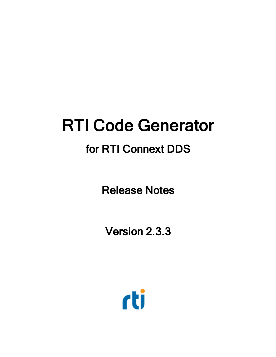# RTI Code Generator

## for RTI Connext DDS

Release Notes

Version 2.3.3

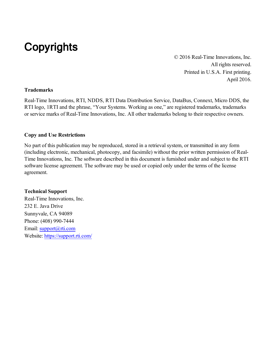## **Copyrights**

© 2016 Real-Time Innovations, Inc. All rights reserved. Printed in U.S.A. First printing. April 2016.

#### **Trademarks**

Real-Time Innovations, RTI, NDDS, RTI Data Distribution Service, DataBus, Connext, Micro DDS, the RTI logo, 1RTI and the phrase, "Your Systems. Working as one," are registered trademarks, trademarks or service marks of Real-Time Innovations, Inc. All other trademarks belong to their respective owners.

#### **Copy and Use Restrictions**

No part of this publication may be reproduced, stored in a retrieval system, or transmitted in any form (including electronic, mechanical, photocopy, and facsimile) without the prior written permission of Real-Time Innovations, Inc. The software described in this document is furnished under and subject to the RTI software license agreement. The software may be used or copied only under the terms of the license agreement.

#### **Technical Support**

Real-Time Innovations, Inc. 232 E. Java Drive Sunnyvale, CA 94089 Phone: (408) 990-7444 Email: [support@rti.com](mailto:support@rti.com) Website: <https://support.rti.com/>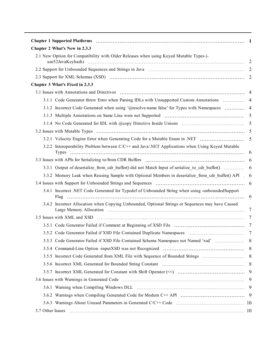| Chapter 2 What's New in 2.3.3                                                                        |                |
|------------------------------------------------------------------------------------------------------|----------------|
| 2.1 New Option for Compatibility with Older Releases when using Keyed Mutable Types (-               |                |
|                                                                                                      |                |
|                                                                                                      |                |
| Chapter 3 What's Fixed in 2.3.3                                                                      |                |
|                                                                                                      |                |
| 3.1.1 Code Generator threw Error when Parsing IDLs with Unsupported Custom Annotations  4            |                |
|                                                                                                      |                |
|                                                                                                      | $\overline{5}$ |
|                                                                                                      | $\overline{5}$ |
|                                                                                                      |                |
| 3.2.1 Velocity Engine Error when Generating Code for a Mutable Enum in .NET                          | 5              |
| 3.2.2 Interoperability Problem between C/C++ and Java/.NET Applications when Using Keyed Mutable     |                |
|                                                                                                      |                |
|                                                                                                      |                |
| 3.3.2 Memory Leak when Reusing Sample with Optional Members in deserialize from cdr buffer() API . 6 |                |
|                                                                                                      |                |
| 3.4.1 Incorrect .NET Code Generated for Typedef of Unbounded String when using -unboundedSupport     |                |
| 3.4.2 Incorrect Allocation when Copying Unbounded, Optional Strings or Sequences may have Caused     | 7              |
|                                                                                                      | 7              |
|                                                                                                      |                |
|                                                                                                      |                |
| 3.5.3 Code Generator Failed if XSD File Contained Schema Namespace not Named 'xsd'                   | 8              |
|                                                                                                      |                |
|                                                                                                      |                |
|                                                                                                      |                |
|                                                                                                      |                |
|                                                                                                      | 9              |
|                                                                                                      | 9              |
|                                                                                                      |                |
|                                                                                                      |                |
|                                                                                                      |                |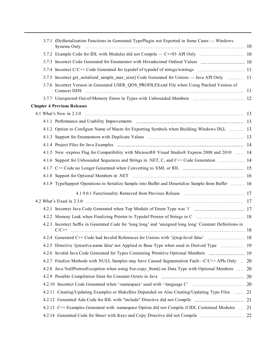| 3.7.1 (De)Serialization Functions in Generated TypePlugin not Exported in Some Cases — Windows               |  |
|--------------------------------------------------------------------------------------------------------------|--|
|                                                                                                              |  |
| 3.7.3 Incorrect Code Generated for Enumerator with Hexadecimal Ordinal Values  10                            |  |
|                                                                                                              |  |
| 3.7.5 Incorrect get serialized sample max size() Code Generated for Unions — Java API Only  11               |  |
| 3.7.6 Incorrect Version in Generated USER QOS PROFILES.xml File when Using Patched Version of<br>Connext DDS |  |
|                                                                                                              |  |
| <b>Chapter 4 Previous Releases</b>                                                                           |  |
|                                                                                                              |  |
|                                                                                                              |  |
| 4.1.2 Option to Configure Name of Macro for Exporting Symbols when Building Windows DLL  13                  |  |
|                                                                                                              |  |
|                                                                                                              |  |
| 4.1.5 New -express Flag for Compatibility with Microsoft® Visual Studio® Express 2008 and 2010  14           |  |
| 4.1.6 Support for Unbounded Sequences and Strings in .NET, C, and C++ Code Generation  14                    |  |
|                                                                                                              |  |
|                                                                                                              |  |
| 4.1.9 TypeSupport Operations to Serialize Sample into Buffer and Deserialize Sample from Buffer  16          |  |
|                                                                                                              |  |
|                                                                                                              |  |
|                                                                                                              |  |
| 4.2.2 Memory Leak when Finalizing Pointer to Typedef Pointer of Strings in C  18                             |  |
| 4.2.3 Incorrect Suffix in Generated Code for 'long long' and 'unsigned long long' Constant Definitions in    |  |
|                                                                                                              |  |
| 4.2.5 Directive '@resolve-name false' not Applied to Base Type when used in Derived Type  19                 |  |
| 4.2.6 Invalid Java Code Generated for Types Containing Primitive Optional Members  19                        |  |
| 4.2.7 Finalize Methods with NULL Samples may have Caused Segmentation Fault—C/C++ APIs Only  20              |  |
| 4.2.8 Java NullPointerException when using Foo.copy_from() on Data Type with Optional Members  20            |  |
|                                                                                                              |  |
|                                                                                                              |  |
| 4.2.11 Creating/Updating Examples or Makefiles Depended on Also Creating/Updating Type Files  21             |  |
|                                                                                                              |  |
| 4.2.13 C++ Examples Generated with -namespace Option did not Compile if IDL Contained Modules  21            |  |
|                                                                                                              |  |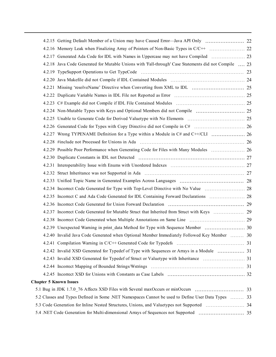|                               | 4.2.15 Getting Default Member of a Union may have Caused Error-Java API Only  22                      |  |
|-------------------------------|-------------------------------------------------------------------------------------------------------|--|
|                               |                                                                                                       |  |
|                               |                                                                                                       |  |
|                               | 4.2.18 Java Code Generated for Mutable Unions with 'Fall-through' Case Statements did not Compile  23 |  |
|                               |                                                                                                       |  |
|                               |                                                                                                       |  |
|                               |                                                                                                       |  |
|                               |                                                                                                       |  |
|                               |                                                                                                       |  |
|                               |                                                                                                       |  |
|                               |                                                                                                       |  |
|                               |                                                                                                       |  |
|                               |                                                                                                       |  |
|                               |                                                                                                       |  |
|                               |                                                                                                       |  |
|                               |                                                                                                       |  |
|                               |                                                                                                       |  |
|                               |                                                                                                       |  |
|                               |                                                                                                       |  |
|                               |                                                                                                       |  |
|                               |                                                                                                       |  |
|                               |                                                                                                       |  |
|                               |                                                                                                       |  |
|                               |                                                                                                       |  |
|                               |                                                                                                       |  |
|                               | 4.2.40 Invalid Java Code Generated when Optional Member Immediately Followed Key Member  30           |  |
|                               |                                                                                                       |  |
|                               | 4.2.42 Invalid XSD Generated for Typedef of Type with Sequences or Arrays in a Module  31             |  |
|                               |                                                                                                       |  |
|                               |                                                                                                       |  |
|                               |                                                                                                       |  |
| <b>Chapter 5 Known Issues</b> |                                                                                                       |  |
|                               |                                                                                                       |  |
|                               | 5.2 Classes and Types Defined in Some .NET Namespaces Cannot be used to Define User Data Types  33    |  |
|                               |                                                                                                       |  |
|                               |                                                                                                       |  |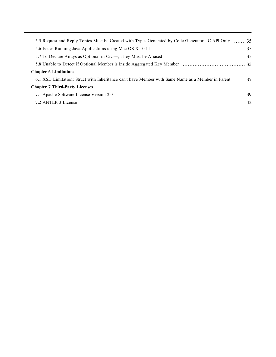| 5.5 Request and Reply Topics Must be Created with Types Generated by Code Generator—C API Only  35     |  |
|--------------------------------------------------------------------------------------------------------|--|
|                                                                                                        |  |
|                                                                                                        |  |
|                                                                                                        |  |
| <b>Chapter 6 Limitations</b>                                                                           |  |
| 6.1 XSD Limitation: Struct with Inheritance can't have Member with Same Name as a Member in Parent  37 |  |
| <b>Chapter 7 Third-Party Licenses</b>                                                                  |  |
|                                                                                                        |  |
|                                                                                                        |  |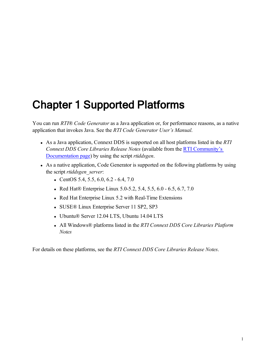## <span id="page-7-0"></span>Chapter 1 Supported Platforms

You can run *RTI® Code Generator* as a Java application or, for performance reasons, as a native application that invokes Java. See the *RTI Code Generator User's Manual*.

- <sup>l</sup> As a Java application, Connext DDS is supported on all host platforms listed in the *RTI Connext DDS Core Libraries Release Notes* (available from the RTI [Community's](http://community.rti.com/documentation) [Documentation](http://community.rti.com/documentation) page) by using the script *rtiddsgen*.
- As a native application, Code Generator is supported on the following platforms by using the script *rtiddsgen\_server*:
	- CentOS 5.4, 5.5, 6.0, 6.2 6.4, 7.0
	- Red Hat® Enterprise Linux 5.0-5.2, 5.4, 5.5, 6.0  $-6.5, 6.7, 7.0$
	- Red Hat Enterprise Linux 5.2 with Real-Time Extensions
	- SUSE® Linux Enterprise Server 11 SP2, SP3
	- Ubuntu® Server 12.04 LTS, Ubuntu 14.04 LTS
	- <sup>l</sup> All Windows® platforms listed in the *RTI Connext DDS Core Libraries Platform Notes*

For details on these platforms, see the *RTI Connext DDS Core Libraries Release Notes*.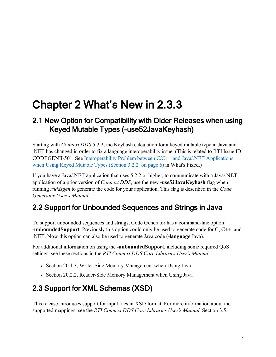## <span id="page-8-0"></span>Chapter 2 What's New in 2.3.3

## <span id="page-8-1"></span>2.1 New Option for Compatibility with Older Releases when using Keyed Mutable Types (-use52JavaKeyhash)

Starting with *Connext DDS* 5.2.2, the Keyhash calculation for a keyed mutable type in Java and .NET has changed in order to fix a language interoperability issue. (This is related to RTI Issue ID CODEGENII-501. See [Interoperability](#page-12-0) Problem between C/C++ and Java/.NET Applications when Using Keyed [Mutable](#page-12-0) Types (Section 3.2.2 on page 6) in What's Fixed.)

If you have a Java/.NET application that uses 5.2.2 or higher, to communicate with a Java/.NET application of a prior version of *Connext DDS*, use the new **-use52JavaKeyhash** flag when running *rtiddsgen* to generate the code for your application. This flag is described in the *Code Generator User's Manual*.

## <span id="page-8-2"></span>2.2 Support for Unbounded Sequences and Strings in Java

To support unbounded sequences and strings, Code Generator has a command-line option: **-unboundedSupport**. Previously this option could only be used to generate code for C, C++, and .NET. Now this option can also be used to generate Java code (**-language** Java).

For additional information on using the **-unboundedSupport**, including some required QoS settings, see these sections in the *RTI Connext DDS Core Libraries User's Manual*:

- Section 20.1.3, Writer-Side Memory Management when Using Java
- <span id="page-8-3"></span>• Section 20.2.2, Reader-Side Memory Management when Using Java

## 2.3 Support for XML Schemas (XSD)

This release introduces support for input files in XSD format. For more information about the supported mappings, see the *RTI Connext DDS Core Libraries User's Manual*, Section 3.5.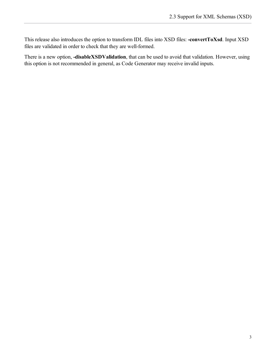This release also introduces the option to transform IDL files into XSD files: **-convertToXsd**. Input XSD files are validated in order to check that they are well-formed.

There is a new option, **-disableXSDValidation**, that can be used to avoid that validation. However, using this option is not recommended in general, as Code Generator may receive invalid inputs.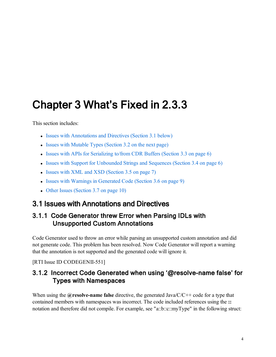## <span id="page-10-0"></span>Chapter 3 What's Fixed in 2.3.3

This section includes:

- Issues with [Annotations](#page-10-1) and Directives (Section 3.1 below)
- Issues with [Mutable](#page-11-2) Types (Section  $3.2$  on the next page)
- Issues with APIs for Serializing to/from [CDR Buffers](#page-12-1) (Section 3.3 on page  $6$ )
- Issues with Support for [Unbounded](#page-12-4) Strings and Sequences (Section 3.4 on page 6)
- Issues with XML and XSD [\(Section](#page-13-1)  $3.5$  on page 7)
- Issues with Warnings in [Generated](#page-15-1) Code (Section  $3.6$  on page 9)
- Other Issues [\(Section](#page-16-1) 3.7 on page 10)

### <span id="page-10-2"></span><span id="page-10-1"></span>3.1 Issues with Annotations and Directives

#### 3.1.1 Code Generator threw Error when Parsing IDLs with Unsupported Custom Annotations

Code Generator used to throw an error while parsing an unsupported custom annotation and did not generate code. This problem has been resolved. Now Code Generator will report a warning that the annotation is not supported and the generated code will ignore it.

<span id="page-10-3"></span>[RTI Issue ID CODEGENII-551]

#### 3.1.2 Incorrect Code Generated when using '@resolve-name false' for Types with Namespaces

When using the **@resolve-name** false directive, the generated Java/C/C++ code for a type that contained members with namespaces was incorrect. The code included references using the **::** notation and therefore did not compile. For example, see "a::b::c::myType" in the following struct: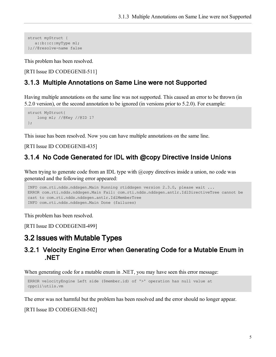```
struct myStruct {
 a::b::c::myType m1;
};//@resolve-name false
```
This problem has been resolved.

<span id="page-11-0"></span>[RTI Issue ID CODEGENII-511]

#### 3.1.3 Multiple Annotations on Same Line were not Supported

Having multiple annotations on the same line was not supported. This caused an error to be thrown (in 5.2.0 version), or the second annotation to be ignored (in versions prior to 5.2.0). For example:

```
struct MyStruct{
   long m1; //@Key //@ID 17
};
```
This issue has been resolved. Now you can have multiple annotations on the same line.

#### <span id="page-11-1"></span>[RTI Issue ID CODEGENII-435]

#### 3.1.4 No Code Generated for IDL with @copy Directive Inside Unions

When trying to generate code from an IDL type with  $@copy$  directives inside a union, no code was generated and the following error appeared:

```
INFO com.rti.ndds.nddsgen.Main Running rtiddsgen version 2.3.0, please wait ...
ERROR com.rti.ndds.nddsgen.Main Fail: com.rti.ndds.nddsgen.antlr.IdlDirectiveTree cannot be
cast to com.rti.ndds.nddsgen.antlr.IdlMemberTree
INFO com.rti.ndds.nddsgen.Main Done (failures)
```
This problem has been resolved.

<span id="page-11-2"></span>[RTI Issue ID CODEGENII-499]

#### <span id="page-11-3"></span>3.2 Issues with Mutable Types

#### 3.2.1 Velocity Engine Error when Generating Code for a Mutable Enum in .NET

When generating code for a mutable enum in .NET, you may have seen this error message:

```
ERROR velocityEngine Left side ($member.id) of '>' operation has null value at
cppcli\utils.vm
```
The error was not harmful but the problem has been resolved and the error should no longer appear.

[RTI Issue ID CODEGENII-502]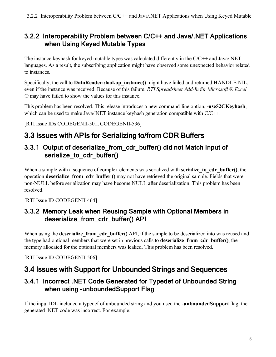#### <span id="page-12-0"></span>3.2.2 Interoperability Problem between C/C++ and Java/.NET Applications when Using Keyed Mutable Types

The instance keyhash for keyed mutable types was calculated differently in the C/C++ and Java/.NET languages. As a result, the subscribing application might have observed some unexpected behavior related to instances.

Specifically, the call to **DataReader::lookup\_instance()** might have failed and returned HANDLE NIL, even if the instance was received. Because of this failure, *RTI Spreadsheet Add-In for Microsoft ® Excel ®* may have failed to show the values for this instance.

This problem has been resolved. This release introduces a new command-line option, **-use52CKeyhash**, which can be used to make Java/.NET instance keyhash generation compatible with  $C/C++$ .

<span id="page-12-1"></span>[RTI Issue IDs CODEGENII-501, CODEGENII-536]

## <span id="page-12-2"></span>3.3 Issues with APIs for Serializing to/from CDR Buffers

### 3.3.1 Output of deserialize\_from\_cdr\_buffer() did not Match Input of serialize\_to\_cdr\_buffer()

When a sample with a sequence of complex elements was serialized with **serialize to cdr buffer()**, the operation **deserialize\_from\_cdr\_buffer ()** may not have retrieved the original sample. Fields that were non-NULL before serialization may have become NULL after deserialization. This problem has been resolved.

<span id="page-12-3"></span>[RTI Issue ID CODEGENII-464]

#### 3.3.2 Memory Leak when Reusing Sample with Optional Members in deserialize\_from\_cdr\_buffer() API

When using the **deserialize from cdr** buffer() API, if the sample to be deserialized into was reused and the type had optional members that were set in previous calls to **deserialize\_from\_cdr\_buffer()**, the memory allocated for the optional members was leaked. This problem has been resolved.

<span id="page-12-4"></span>[RTI Issue ID CODEGENII-506]

## <span id="page-12-5"></span>3.4 Issues with Support for Unbounded Strings and Sequences

#### 3.4.1 Incorrect .NET Code Generated for Typedef of Unbounded String when using -unboundedSupport Flag

If the input IDL included a typedef of unbounded string and you used the **-unboundedSupport** flag, the generated .NET code was incorrect. For example: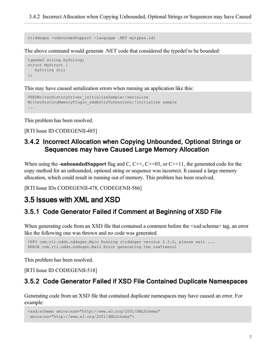rtiddsgen -unboundedSupport -language .NET mytypes.idl

The above command would generate .NET code that considered the typedef to be bounded:

```
typedef string myString;
struct MyStruct { 
  myString str;
};
```
This may have caused serialization errors when running an application like this:

```
PRESWriterHistoryDriver_initializeSample:!serialize
WriterHistoryMemoryPlugin_addEntryToSessions:!initialize sample
...
```
This problem has been resolved.

<span id="page-13-0"></span>[RTI Issue ID CODEGENII-485]

#### 3.4.2 Incorrect Allocation when Copying Unbounded, Optional Strings or Sequences may have Caused Large Memory Allocation

When using the **-unboundedSupport** flag and C, C<sup>++</sup>, C<sup>++</sup>03, or C<sup>++11</sup>, the generated code for the copy method for an unbounded, optional string or sequence was incorrect. It caused a large memory allocation, which could result in running out of memory. This problem has been resolved.

<span id="page-13-1"></span>[RTI Issue IDs CODEGENII-478, CODEGENII-566]

#### <span id="page-13-2"></span>3.5 Issues with XML and XSD

#### 3.5.1 Code Generator Failed if Comment at Beginning of XSD File

When generating code from an XSD file that contained a comment before the  $\le$ xsd:schema> tag, an error like the following one was thrown and no code was generated.

```
INFO com.rti.ndds.nddsgen.Main Running rtiddsgen version 2.3.0, please wait ...
ERROR com.rti.ndds.nddsgen.Main Error generating the rawTreenul
```
This problem has been resolved.

<span id="page-13-3"></span>[RTI Issue ID CODEGENII-518]

#### 3.5.2 Code Generator Failed if XSD File Contained Duplicate Namespaces

Generating code from an XSD file that contained duplicate namespaces may have caused an error. For example:

```
<xsd:schema xmlns:xsd="http://www.w3.org/2001/XMLSchema"
 xmlns:xs="http://www.w3.org/2001/XMLSchema">
```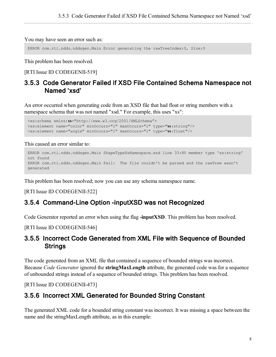You may have seen an error such as:

ERROR com.rti.ndds.nddsgen.Main Error generating the rawTreeIndex:0, Size:0

This problem has been resolved.

<span id="page-14-0"></span>[RTI Issue ID CODEGENII-519]

#### 3.5.3 Code Generator Failed if XSD File Contained Schema Namespace not Named 'xsd'

An error occurred when generating code from an XSD file that had float or string members with a namespace schema that was not named "xsd." For example, this uses "xs":

```
<xs:schema xmlns:xs="http://www.w3.org/2001/XMLSchema">
<xs:element name="color" minOccurs="1" maxOccurs="1" type="xs:string"/>
<xs:element name="angle" minOccurs="1" maxOccurs="1" type="xs:float"/>
```
This caused an error similar to:

```
ERROR com.rti.ndds.nddsgen.Main ShapeTypeXsNamespace.xsd line 33:80 member type 'xs:string'
not found
ERROR com.rti.ndds.nddsgen.Main Fail: The file couldn't be parsed and the rawTree wasn't
generated
```
This problem has been resolved; now you can use any schema namespace name.

<span id="page-14-1"></span>[RTI Issue ID CODEGENII-522]

#### 3.5.4 Command-Line Option -inputXSD was not Recognized

Code Generator reported an error when using the flag **-inputXSD**. This problem has been resolved.

<span id="page-14-2"></span>[RTI Issue ID CODEGENII-546]

#### 3.5.5 Incorrect Code Generated from XML File with Sequence of Bounded **Strings**

The code generated from an XML file that contained a sequence of bounded strings was incorrect. Because *Code Generator* ignored the **stringMaxLength** attribute, the generated code was for a sequence of unbounded strings instead of a sequence of bounded strings. This problem has been resolved.

<span id="page-14-3"></span>[RTI Issue ID CODEGENII-473]

#### 3.5.6 Incorrect XML Generated for Bounded String Constant

The generated XML code for a bounded string constant was incorrect. It was missing a space between the name and the stringMaxLength attribute, as in this example: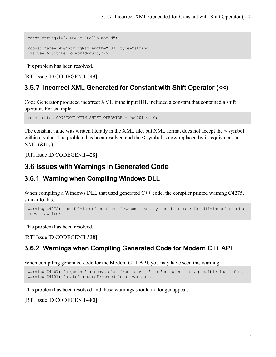```
const string<100> MSG = "Hello World";
<const name="MSG"stringMaxLength="100" type="string"
value="" Hello World" "/>
```
This problem has been resolved.

#### <span id="page-15-0"></span>[RTI Issue ID CODEGENII-549]

### 3.5.7 Incorrect XML Generated for Constant with Shift Operator (<<)

Code Generator produced incorrect XML if the input IDL included a constant that contained a shift operator. For example:

const octet CONSTANT WITH SHIFT OPERATOR =  $0x0001 \ll 0;$ 

The constant value was written literally in the XML file, but XML format does not accept the **<** symbol within a value. The problem has been resolved and the **<** symbol is now replaced by its equivalent in XML **(&lt ; )**.

<span id="page-15-1"></span>[RTI Issue ID CODEGENII-428]

## <span id="page-15-2"></span>3.6 Issues with Warnings in Generated Code

#### 3.6.1 Warning when Compiling Windows DLL

When compiling a Windows DLL that used generated  $C++$  code, the compiler printed warning C4275, similar to this:

```
warning C4275: non dll-interface class 'DDSDomainEntity' used as base for dll-interface class
'DDSDataWriter'
```
This problem has been resolved.

<span id="page-15-3"></span>[RTI Issue ID CODEGENII-538]

#### 3.6.2 Warnings when Compiling Generated Code for Modern C++ API

When compiling generated code for the Modern  $C++$  API, you may have seen this warning:

```
warning C4267: 'argument' : conversion from 'size t' to 'unsigned int', possible loss of data
warning C4101: 'state' : unreferenced local variable
```
This problem has been resolved and these warnings should no longer appear.

[RTI Issue ID CODEGENII-480]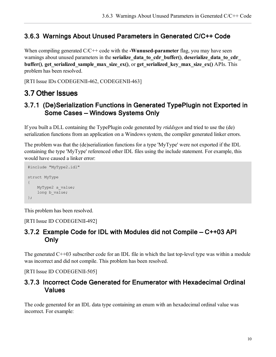#### <span id="page-16-0"></span>3.6.3 Warnings About Unused Parameters in Generated C/C++ Code

When compiling generated  $C/C++$  code with the **-Wunused-parameter** flag, you may have seen warnings about unused parameters in the **serialize** data to cdr buffer(), deserialize data to cdr **buffer()**, **get\_serialized\_sample\_max\_size\_ex()**, or **get\_serialized\_key\_max\_size\_ex()** APIs. This problem has been resolved.

<span id="page-16-1"></span>[RTI Issue IDs CODEGENII-462, CODEGENII-463]

### <span id="page-16-2"></span>3.7 Other Issues

#### 3.7.1 (De)Serialization Functions in Generated TypePlugin not Exported in Some Cases — Windows Systems Only

If you built a DLL containing the TypePlugin code generated by *rtiddsgen* and tried to use the (de) serialization functions from an application on a Windows system, the compiler generated linker errors.

The problem was that the (de)serialization functions for a type 'MyType' were not exported if the IDL containing the type 'MyType' referenced other IDL files using the include statement. For example, this would have caused a linker error:

```
#include "MyType2.idl"
struct MyType
{
   MyType2 a_value;
   long b value;
};
```
This problem has been resolved.

<span id="page-16-3"></span>[RTI Issue ID CODEGENII-492]

#### 3.7.2 Example Code for IDL with Modules did not Compile — C++03 API Only

The generated C++03 subscriber code for an IDL file in which the last top-level type was within a module was incorrect and did not compile. This problem has been resolved.

<span id="page-16-4"></span>[RTI Issue ID CODEGENII-505]

#### 3.7.3 Incorrect Code Generated for Enumerator with Hexadecimal Ordinal Values

The code generated for an IDL data type containing an enum with an hexadecimal ordinal value was incorrect. For example: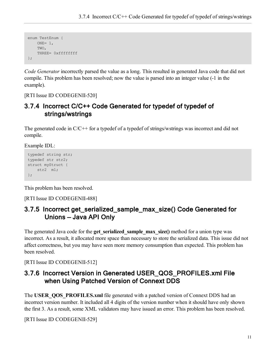```
enum TestEnum { 
   ONE= 1,TWO,
   THREE= 0xffffffff
};
```
*Code Generator* incorrectly parsed the value as a long. This resulted in generated Java code that did not compile. This problem has been resolved; now the value is parsed into an integer value (-1 in the example).

<span id="page-17-0"></span>[RTI Issue ID CODEGENII-520]

#### 3.7.4 Incorrect C/C++ Code Generated for typedef of typedef of strings/wstrings

The generated code in C/C++ for a typedef of a typedef of strings/wstrings was incorrect and did not compile.

Example IDL:

```
typedef string str;
typedef str str2;
struct myStruct {
    str2 m1;
};
```
This problem has been resolved.

<span id="page-17-1"></span>[RTI Issue ID CODEGENII-488]

#### 3.7.5 Incorrect get\_serialized\_sample\_max\_size() Code Generated for Unions — Java API Only

The generated Java code for the **get serialized sample max size()** method for a union type was incorrect. As a result, it allocated more space than necessary to store the serialized data. This issue did not affect correctness, but you may have seen more memory consumption than expected. This problem has been resolved.

<span id="page-17-2"></span>[RTI Issue ID CODEGENII-512]

#### 3.7.6 Incorrect Version in Generated USER\_QOS\_PROFILES.xml File when Using Patched Version of Connext DDS

The **USER** OOS PROFILES.xml file generated with a patched version of Connext DDS had an incorrect version number. It included all 4 digits of the version number when it should have only shown the first 3. As a result, some XML validators may have issued an error. This problem has been resolved.

[RTI Issue ID CODEGENII-529]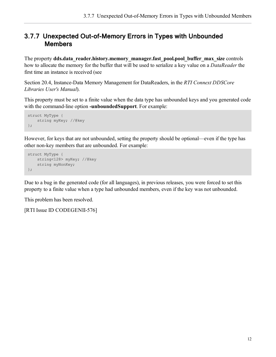#### <span id="page-18-0"></span>3.7.7 Unexpected Out-of-Memory Errors in Types with Unbounded Members

The property **dds.data\_reader.history.memory\_manager.fast\_pool.pool\_buffer\_max\_size** controls how to allocate the memory for the buffer that will be used to serialize a key value on a *DataReader* the first time an instance is received (see

Section 20.4, Instance-Data Memory Management for DataReaders, in the *RTI Connext DDSCore Libraries User's Manual*).

This property must be set to a finite value when the data type has unbounded keys and you generated code with the command-line option **-unboundedSupport**. For example:

```
struct MyType {
    string myKey; //@key
};
```
However, for keys that are not unbounded, setting the property should be optional—even if the type has other non-key members that are unbounded. For example:

```
struct MyType {
    string<128> myKey; //@key
    string myNonKey;
};
```
Due to a bug in the generated code (for all languages), in previous releases, you were forced to set this property to a finite value when a type had unbounded members, even if the key was not unbounded.

This problem has been resolved.

[RTI Issue ID CODEGENII-576]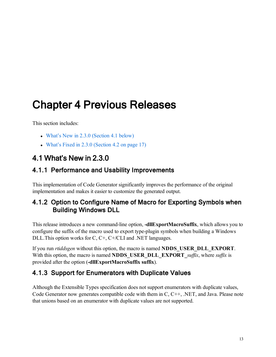## <span id="page-19-0"></span>Chapter 4 Previous Releases

This section includes:

- What's New in  $2.3.0$  [\(Section](#page-19-1) 4.1 below)
- What's Fixed in  $2.3.0$  [\(Section](#page-23-1) 4.2 on page 17)

## <span id="page-19-2"></span><span id="page-19-1"></span>4.1 What's New in 2.3.0

#### 4.1.1 Performance and Usability Improvements

This implementation of Code Generator significantly improves the performance of the original implementation and makes it easier to customize the generated output.

#### <span id="page-19-3"></span>4.1.2 Option to Configure Name of Macro for Exporting Symbols when Building Windows DLL

This release introduces a new command-line option, **-dllExportMacroSuffix**, which allows you to configure the suffix of the macro used to export type-plugin symbols when building a Windows DLL.This option works for C, C+, C+/CLI and .NET languages.

If you run *rtiddsgen* without this option, the macro is named **NDDS\_USER\_DLL\_EXPORT**. With this option, the macro is named **NDDS** USER DLL EXPORT *suffix*, where *suffix* is provided after the option (**-dllExportMacroSuffix suffix**).

### <span id="page-19-4"></span>4.1.3 Support for Enumerators with Duplicate Values

Although the Extensible Types specification does not support enumerators with duplicate values, Code Generator now generates compatible code with them in C, C++, .NET, and Java. Please note that unions based on an enumerator with duplicate values are not supported.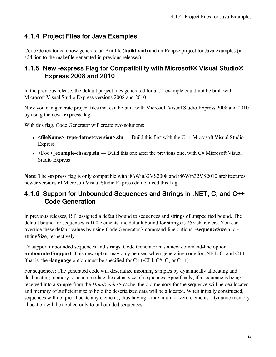### <span id="page-20-0"></span>4.1.4 Project Files for Java Examples

Code Generator can now generate an Ant file (**build.xml**) and an Eclipse project for Java examples (in addition to the makefile generated in previous releases).

#### <span id="page-20-1"></span>4.1.5 New -express Flag for Compatibility with Microsoft® Visual Studio® Express 2008 and 2010

In the previous release, the default project files generated for a  $C#$  example could not be built with Microsoft Visual Studio Express versions 2008 and 2010.

Now you can generate project files that can be built with Microsoft Visual Studio Express 2008 and 2010 by using the new **-express** flag.

With this flag, Code Generator will create two solutions:

- <fileName> type-dotnet<version>.sln Build this first with the C++ Microsoft Visual Studio Express
- $\leq$ Foo $\geq$  example-chsarp.sln Build this one after the previous one, with C# Microsoft Visual Studio Express

**Note:** The **-express** flag is only compatible with i86Win32VS2008 and i86Win32VS2010 architectures; newer versions of Microsoft Visual Studio Express do not need this flag.

#### <span id="page-20-2"></span>4.1.6 Support for Unbounded Sequences and Strings in .NET, C, and C++ Code Generation

In previous releases, RTI assigned a default bound to sequences and strings of unspecified bound. The default bound for sequences is 100 elements; the default bound for strings is 255 characters. You can override these default values by using Code Generator*'s* command-line options, **-sequenceSize** and  **stringSize**, respectively.

To support unbounded sequences and strings, Code Generator has a new command-line option: **-unboundedSupport**. This new option may only be used when generating code for .NET, C, and C++ (that is, the **-language** option must be specified for C++/CLI, C#, C, or C++).

For sequences: The generated code will deserialize incoming samples by dynamically allocating and deallocating memory to accommodate the actual size of sequences. Specifically, if a sequence is being received into a sample from the *DataReader's* cache, the old memory for the sequence will be deallocated and memory of sufficient size to hold the deserialized data will be allocated. When initially constructed, sequences will not pre-allocate any elements, thus having a maximum of zero elements. Dynamic memory allocation will be applied only to unbounded sequences.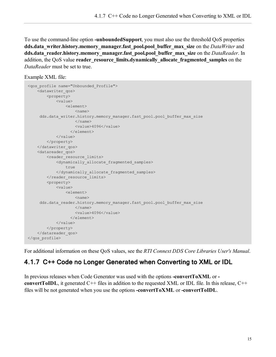To use the command-line option **-unboundedSupport**, you must also use the threshold QoS properties **dds.data\_writer.history.memory\_manager.fast\_pool.pool\_buffer\_max\_size** on the *DataWriter* and **dds.data\_reader.history.memory\_manager.fast\_pool.pool\_buffer\_max\_size** on the *DataReader*. In addition, the QoS value **reader** resource limits.dynamically allocate fragmented samples on the *DataReader* must be set to true.

```
Example XML file:
```

```
<qos_profile name="Unbounded_Profile">
   <datawriter_qos>
       <property>
           <value>
                <element>
                    <name>dds.data writer.history.memory manager.fast pool.pool buffer max size
                    </name>
                    <value>4096</value>
                  </element>
            </value>
        </property>
    </datawriter_qos>
    <datareader_qos>
        <reader resource limits>
            <dynamically_allocate_fragmented_samples>
                true
            </dynamically_allocate_fragmented_samples>
        </reader_resource_limits>
        <property>
            <value>
                <element>
                    <name>dds.data_reader.history.memory_manager.fast_pool.pool_buffer_max_size
                   </name>
                    <value>4096</value>
                  </element>
           </value>
        </property>
    </datareader_qos>
</qos_profile>
```
<span id="page-21-0"></span>For additional information on these QoS values, see the *RTI Connext DDS Core Libraries User's Manual*.

#### 4.1.7 C++ Code no Longer Generated when Converting to XML or IDL

In previous releases when Code Generator was used with the options **-convertToXML** or  **convertToIDL**, it generated  $C++$  files in addition to the requested XML or IDL file. In this release,  $C++$ files will be not generated when you use the options **-convertToXML** or **-convertToIDL**.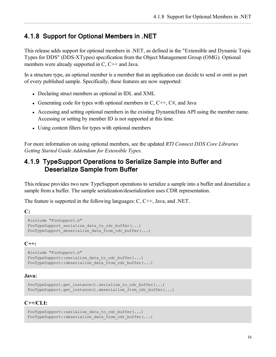#### <span id="page-22-0"></span>4.1.8 Support for Optional Members in .NET

This release adds support for optional members in .NET, as defined in the "Extensible and Dynamic Topic Types for DDS" (DDS-XTypes) specification from the Object Management Group (OMG). Optional members were already supported in C, C<sup>++</sup> and Java.

In a structure type, an optional member is a member that an application can decide to send or omit as part of every published sample. Specifically, these features are now supported:

- Declaring struct members as optional in IDL and XML
- Generating code for types with optional members in C,  $C++$ ,  $C#$ , and Java
- Accessing and setting optional members in the existing DynamicData API using the member name. Accessing or setting by member ID is not supported at this time.
- Using content filters for types with optional members

For more information on using optional members, see the updated *RTI Connext DDS Core Libraries Getting Started Guide Addendum for Extensible Types.*

#### <span id="page-22-1"></span>4.1.9 TypeSupport Operations to Serialize Sample into Buffer and Deserialize Sample from Buffer

This release provides two new TypeSupport operations to serialize a sample into a buffer and deserialize a sample from a buffer. The sample serialization/deserialization uses CDR representation.

The feature is supported in the following languages: C, C++, Java, and .NET.

**C:**

```
#include "FooSupport.h"
FooTypeSupport serialize data to cdr buffer(...)
FooTypeSupport deserialize data from cdr buffer(...)
```
#### **C++:**

```
#include "FooSupport.h"
FooTypeSupport::serialize data to cdr buffer(...)
FooTypeSupport::deserialize_data_from_cdr_buffer(...)
```
#### **Java:**

```
FooTypeSupport.get_instance().serialize_to_cdr_buffer(...)
FooTypeSupport.get_instance().deserialize_from_cdr_buffer(...)
```
#### **C++/CLI:**

```
FooTypeSupport::serialize data to cdr buffer(...)
FooTypeSupport::deserialize_data_from_cdr_buffer(...)
```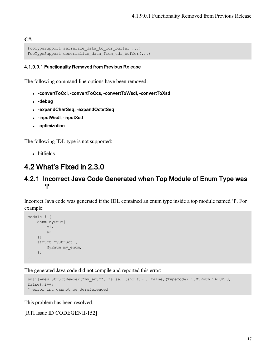#### **C#:**

```
FooTypeSupport.serialize_data_to_cdr_buffer(...)
FooTypeSupport.deserialize_data_from_cdr_buffer(...)
```
#### <span id="page-23-0"></span>4.1.9.0.1 Functionality Removed from Previous Release

The following command-line options have been removed:

- <sup>l</sup> -convertToCcl, -convertToCcs, -convertToWsdl, -convertToXsd
- $\bullet$  -debug
- - expandCharSeq, -expandOctetSeq
- -inputWsdl, -inputXsd
- - optimization

The following IDL type is not supported:

<span id="page-23-1"></span>• bitfields

### <span id="page-23-2"></span>4.2 What's Fixed in 2.3.0

#### 4.2.1 Incorrect Java Code Generated when Top Module of Enum Type was 'i'

Incorrect Java code was generated if the IDL contained an enum type inside a top module named '**i**'. For example:

```
module i {
    enum MyEnum{
       e1,
        e2
    };
    struct MyStruct {
       MyEnum my_enum;
   };
};
```
The generated Java code did not compile and reported this error:

```
sm[i]=new StructMember("my_enum", false, (short)-1, false,(TypeCode) i.MyEnum.VALUE,0,
false);i++;^ error int cannot be dereferenced
```
This problem has been resolved.

[RTI Issue ID CODEGENII-152]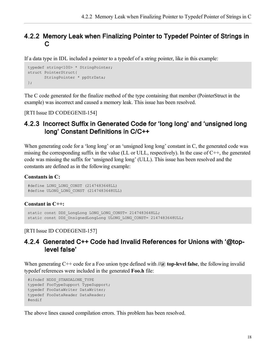#### <span id="page-24-0"></span>4.2.2 Memory Leak when Finalizing Pointer to Typedef Pointer of Strings in C

If a data type in IDL included a pointer to a typedef of a string pointer, like in this example:

```
typedef string<100> * StringPointer;
struct PointerStruct{
      StringPointer * ppStrData;
};
```
The C code generated for the finalize method of the type containing that member (PointerStruct in the example) was incorrect and caused a memory leak. This issue has been resolved.

<span id="page-24-1"></span>[RTI Issue ID CODEGENII-154]

#### 4.2.3 Incorrect Suffix in Generated Code for 'long long' and 'unsigned long long' Constant Definitions in C/C++

When generating code for a 'long long' or an 'unsigned long long' constant in C, the generated code was missing the corresponding suffix in the value (LL or ULL, respectively). In the case of C++, the generated code was missing the suffix for 'unsigned long long' (ULL). This issue has been resolved and the constants are defined as in the following example:

**Constants in C:**

```
#define LONG_LONG_CONST (2147483648LL)
#define ULONG_LONG_CONST (2147483648ULL)
```
**Constant in C++:**

```
static const DDS LongLong LONG LONG CONST= 2147483648LL;
static const DDS UnsignedLongLong ULONG LONG CONST= 2147483648ULL;
```
#### <span id="page-24-2"></span>[RTI Issue ID CODEGENII-157]

#### 4.2.4 Generated C++ Code had Invalid References for Unions with '@toplevel false'

When generating C++ code for a Foo union type defined with **//@ top-level false**, the following invalid typedef references were included in the generated **Foo.h** file:

```
#ifndef NDDS_STANDALONE_TYPE
typedef FooTypeSupport TypeSupport;
typedef FooDataWriter DataWriter;
typedef FooDataReader DataReader;
#endif
```
The above lines caused compilation errors. This problem has been resolved.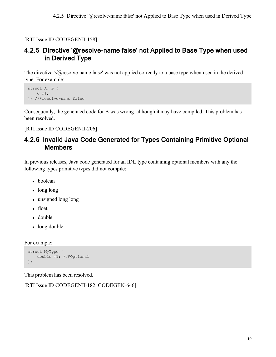<span id="page-25-0"></span>[RTI Issue ID CODEGENII-158]

#### 4.2.5 Directive '@resolve-name false' not Applied to Base Type when used in Derived Type

The directive '//@resolve-name false' was not applied correctly to a base type when used in the derived type. For example:

```
struct A: B {
   C m1;
}; //@resolve-name false
```
Consequently, the generated code for B was wrong, although it may have compiled. This problem has been resolved.

<span id="page-25-1"></span>[RTI Issue ID CODEGENII-206]

#### 4.2.6 Invalid Java Code Generated for Types Containing Primitive Optional Members

In previous releases, Java code generated for an IDL type containing optional members with any the following types primitive types did not compile:

- boolean
- $\bullet$  long long
- $\bullet$  unsigned long long
- float
- double
- long double

For example:

```
struct MyType {
    double m1; //@Optional
};
```
This problem has been resolved.

[RTI Issue ID CODEGENII-182, CODEGEN-646]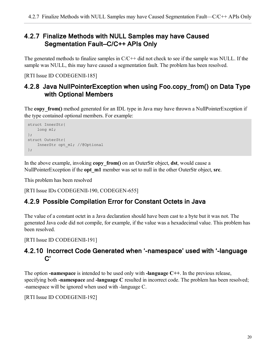#### <span id="page-26-0"></span>4.2.7 Finalize Methods with NULL Samples may have Caused Segmentation Fault—C/C++ APIs Only

The generated methods to finalize samples in  $C/C++$  did not check to see if the sample was NULL. If the sample was NULL, this may have caused a segmentation fault. The problem has been resolved.

<span id="page-26-1"></span>[RTI Issue ID CODEGENII-185]

#### 4.2.8 Java NullPointerException when using Foo.copy\_from() on Data Type with Optional Members

The **copy** from() method generated for an IDL type in Java may have thrown a NullPointerException if the type contained optional members. For example:

```
struct InnerStr{
   long m1;
};
struct OuterStr{
    InnerStr opt_m1; //@Optional
};
```
In the above example, invoking **copy\_from()** on an OuterStr object, **dst**, would cause a NullPointerException if the **opt\_m1** member was set to null in the other OuterStr object, **src**.

This problem has been resolved

<span id="page-26-2"></span>[RTI Issue IDs CODEGENII-190, CODEGEN-655]

#### 4.2.9 Possible Compilation Error for Constant Octets in Java

The value of a constant octet in a Java declaration should have been cast to a byte but it was not. The generated Java code did not compile, for example, if the value was a hexadecimal value. This problem has been resolved.

<span id="page-26-3"></span>[RTI Issue ID CODEGENII-191]

#### 4.2.10 Incorrect Code Generated when '-namespace' used with '-language C'

The option **-namespace** is intended to be used only with **-language C++**. In the previous release, specifying both **-namespace** and **-language C** resulted in incorrect code. The problem has been resolved; -namespace will be ignored when used with -language C.

[RTI Issue ID CODEGENII-192]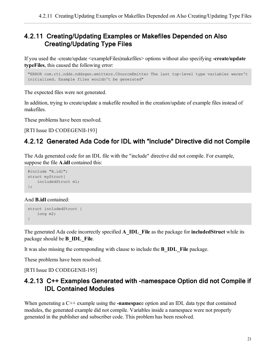#### <span id="page-27-0"></span>4.2.11 Creating/Updating Examples or Makefiles Depended on Also Creating/Updating Type Files

If you used the -create/update <exampleFiles|makefiles> options without also specifying **-create/update typeFiles**, this caused the following error:

```
"ERROR com.rti.ndds.nddsgen.emitters.CSourceEmitter The last top-level type variables weren't
initialized. Example files wouldn't be generated"
```
The expected files were not generated.

In addition, trying to create/update a makefile resulted in the creation/update of example files instead of makefiles.

These problems have been resolved.

<span id="page-27-1"></span>[RTI Issue ID CODEGENII-193]

### 4.2.12 Generated Ada Code for IDL with "include" Directive did not Compile

The Ada generated code for an IDL file with the "include" directive did not compile. For example, suppose the file **A.idl** contained this:

```
#include "B.idl";
struct myStruct{
   includedStruct m1;
};
```
And **B.idl** contained:

```
struct includedStruct {
   long m2;
}
```
The generated Ada code incorrectly specified **A\_IDL\_File** as the package for **includedStruct** while its package should be **B\_IDL\_File**.

It was also missing the corresponding with clause to include the **B\_IDL\_File** package.

These problems have been resolved.

<span id="page-27-2"></span>[RTI Issue ID CODEGENII-195]

#### 4.2.13 C++ Examples Generated with -namespace Option did not Compile if IDL Contained Modules

When generating a C++ example using the **-namespac**e option and an IDL data type that contained modules, the generated example did not compile. Variables inside a namespace were not properly generated in the publisher and subscriber code. This problem has been resolved.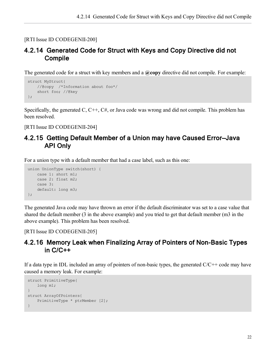#### <span id="page-28-0"></span>[RTI Issue ID CODEGENII-200]

#### 4.2.14 Generated Code for Struct with Keys and Copy Directive did not Compile

The generated code for a struct with key members and a **@copy** directive did not compile. For example:

```
struct MyStruct{
   //@copy /*Information about foo*/
   short foo; //@key
};
```
Specifically, the generated C, C++, C#, or Java code was wrong and did not compile. This problem has been resolved.

<span id="page-28-1"></span>[RTI Issue ID CODEGENII-204]

#### 4.2.15 Getting Default Member of a Union may have Caused Error—Java API Only

For a union type with a default member that had a case label, such as this one:

```
union UnionType switch(short) {
   case 1: short m1;
   case 2: float m2;
   case 3:
   default: long m3;
};
```
The generated Java code may have thrown an error if the default discriminator was set to a case value that shared the default member (3 in the above example) and you tried to get that default member (m3 in the above example). This problem has been resolved.

<span id="page-28-2"></span>[RTI Issue ID CODEGENII-205]

#### 4.2.16 Memory Leak when Finalizing Array of Pointers of Non-Basic Types in C/C++

If a data type in IDL included an array of pointers of non-basic types, the generated  $C/C++$  code may have caused a memory leak. For example:

```
struct PrimitiveType{
   long m1;
}
struct ArrayOfPointers{
  PrimitiveType * ptrMember [2];
}
```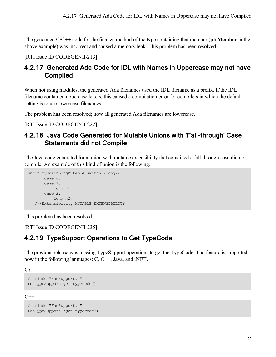The generated C/C++ code for the finalize method of the type containing that member (**ptrMember** in the above example) was incorrect and caused a memory leak. This problem has been resolved.

<span id="page-29-0"></span>[RTI Issue ID CODEGENII-213]

#### 4.2.17 Generated Ada Code for IDL with Names in Uppercase may not have Compiled

When not using modules, the generated Ada filenames used the IDL filename as a prefix. If the IDL filename contained uppercase letters, this caused a compilation error for compilers in which the default setting is to use lowercase filenames.

The problem has been resolved; now all generated Ada filenames are lowercase.

<span id="page-29-1"></span>[RTI Issue ID CODEGENII-222]

#### 4.2.18 Java Code Generated for Mutable Unions with 'Fall-through' Case Statements did not Compile

The Java code generated for a union with mutable extensibility that contained a fall-through case did not compile. An example of this kind of union is the following:

```
union MyUnionLongMutable switch (long){
       case 0:
       case 1:
          long m1;
      case 2:
         long m2;
}; //@Extensibility MUTABLE_EXTENSIBILITY
```
This problem has been resolved.

<span id="page-29-2"></span>[RTI Issue ID CODEGENII-235]

#### 4.2.19 TypeSupport Operations to Get TypeCode

The previous release was missing TypeSupport operations to get the TypeCode. The feature is supported now in the following languages: C, C++, Java, and .NET.

**C:**

```
#include "FooSupport.h"
FooTypeSupport_get_typecode()
```
**C++**

```
#include "FooSupport.h"
FooTypeSupport::get_typecode()
```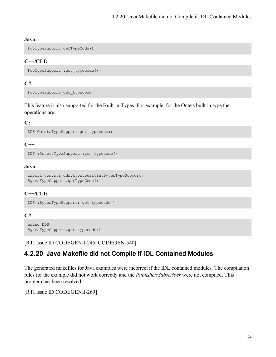#### **Java:**

FooTypeSupport.getTypeCode()

#### **C++/CLI:**

```
FooTypeSupport::get_typecode()
```
#### **C#:**

```
FooTypeSupport.get_typecode()
```
This feature is also supported for the Built-in Types. For example, for the Octets built-in type the operations are:

#### **C:**

```
DDS_OctetsTypeSupport_get_typecode()
```
#### **C++**

```
DDS::OctetsTypeSupport::get_typecode()
```
#### **Java:**

```
import com.rti.dds.type.builtin.BytesTypeSupport;
BytesTypeSupport.getTypeCode()
```
#### **C++/CLI:**

```
DDS::BytesTypeSupport::get_typecode()
```
#### **C#:**

```
using DDS;
BytesTypeSupport.get_typecode()
```
<span id="page-30-0"></span>[RTI Issue ID CODEGENII-245, CODEGEN-540]

#### 4.2.20 Java Makefile did not Compile if IDL Contained Modules

The generated makefiles for Java examples were incorrect if the IDL contained modules. The compilation rules for the example did not work correctly and the *Publisher/Subscriber* were not compiled. This problem has been resolved.

[RTI Issue ID CODEGENII-269]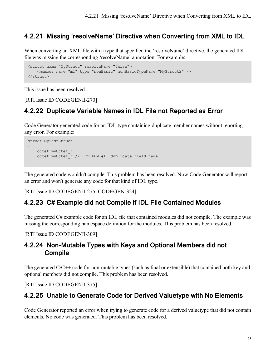#### <span id="page-31-0"></span>4.2.21 Missing 'resolveName' Directive when Converting from XML to IDL

When converting an XML file with a type that specified the 'resolveName' directive, the generated IDL file was missing the corresponding 'resolveName' annotation. For example:

```
<struct name="MyStruct" resolveName="false">
    <member name="m1" type="nonBasic" nonBasicTypeName="MyStruct2" />
</struct>
```
This issue has been resolved.

<span id="page-31-1"></span>[RTI Issue ID CODEGENII-270]

#### 4.2.22 Duplicate Variable Names in IDL File not Reported as Error

Code Generator generated code for an IDL type containing duplicate member names without reporting any error. For example:

```
struct MyTestStruct
{
   octet myOctet_;
   octet myOctet_; // PROBLEM #1: duplicate field name
};
```
The generated code wouldn't compile. This problem has been resolved. Now Code Generator will report an error and won't generate any code for that kind of IDL type.

<span id="page-31-2"></span>[RTI Issue ID CODEGENII-275, CODEGEN-324]

#### 4.2.23 C# Example did not Compile if IDL File Contained Modules

The generated C# example code for an IDL file that contained modules did not compile. The example was missing the corresponding namespace definition for the modules. This problem has been resolved.

<span id="page-31-3"></span>[RTI Issue ID CODEGENII-309]

#### 4.2.24 Non-Mutable Types with Keys and Optional Members did not Compile

The generated  $C/C++$  code for non-mutable types (such as final or extensible) that contained both key and optional members did not compile. This problem has been resolved.

<span id="page-31-4"></span>[RTI Issue ID CODEGENII-375]

#### 4.2.25 Unable to Generate Code for Derived Valuetype with No Elements

Code Generator reported an error when trying to generate code for a derived valuetype that did not contain elements. No code was generated. This problem has been resolved.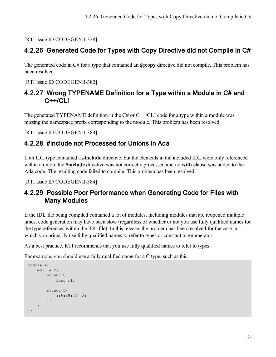<span id="page-32-0"></span>[RTI Issue ID CODEGENII-378]

#### 4.2.26 Generated Code for Types with Copy Directive did not Compile in C#

The generated code in C# for a type that contained an **@copy** directive did not compile. This problem has been resolved.

<span id="page-32-1"></span>[RTI Issue ID CODEGENII-382]

#### 4.2.27 Wrong TYPENAME Definition for a Type within a Module in C# and C++/CLI

The generated TYPENAME definition in the  $C#$  or  $C++/CLI$  code for a type within a module was missing the namespace prefix corresponding to the module. This problem has been resolved.

<span id="page-32-2"></span>[RTI Issue ID CODEGENII-383]

#### 4.2.28 #include not Processed for Unions in Ada

If an IDL type contained a **#include** directive, but the elements in the included IDL were only referenced within a union, the **#include** directive was not correctly processed and no **with** clause was added to the Ada code. The resulting code failed to compile. This problem has been resolved.

<span id="page-32-3"></span>[RTI Issue ID CODEGENII-384]

#### 4.2.29 Possible Poor Performance when Generating Code for Files with Many Modules

If the IDL file being compiled contained a lot of modules, including modules that are reopened multiple times, code generation may have been slow (regardless of whether or not you use fully qualified names for the type references within the IDL file). In this release, the problem has been resolved for the case in which you primarily use fully qualified names to refer to types or constant or enumerator.

As a best practice, RTI recommends that you use fully qualified names to refer to types.

For example, you should use a fully qualified name for a C type, such as this:

```
module A{
   module B{
        struct C {
           long m1;
        };
        struct D{
            ::A::B::C m2;
        };
  };
};
```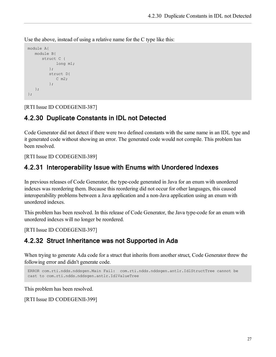Use the above, instead of using a relative name for the C type like this:

```
module A{
  module B{
      struct C {
            long m1;
         };
         struct D{
             C m2;
         };
   };
};
```
<span id="page-33-0"></span>[RTI Issue ID CODEGENII-387]

#### 4.2.30 Duplicate Constants in IDL not Detected

Code Generator did not detect if there were two defined constants with the same name in an IDL type and it generated code without showing an error. The generated code would not compile. This problem has been resolved.

<span id="page-33-1"></span>[RTI Issue ID CODEGENII-389]

#### 4.2.31 Interoperability Issue with Enums with Unordered Indexes

In previous releases of Code Generator, the type-code generated in Java for an enum with unordered indexes was reordering them. Because this reordering did not occur for other languages, this caused interoperability problems between a Java application and a non-Java application using an enum with unordered indexes.

This problem has been resolved. In this release of Code Generator, the Java type-code for an enum with unordered indexes will no longer be reordered.

<span id="page-33-2"></span>[RTI Issue ID CODEGENII-397]

#### 4.2.32 Struct Inheritance was not Supported in Ada

When trying to generate Ada code for a struct that inherits from another struct, Code Generator threw the following error and didn't generate code.

```
ERROR com.rti.ndds.nddsgen.Main Fail: com.rti.ndds.nddsgen.antlr.IdlStructTree cannot be
cast to com.rti.ndds.nddsgen.antlr.IdlValueTree
```
This problem has been resolved.

[RTI Issue ID CODEGENII-399]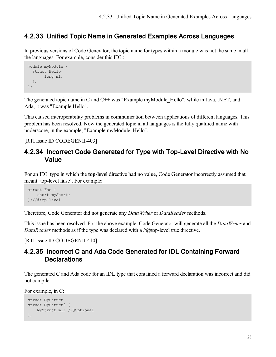#### <span id="page-34-0"></span>4.2.33 Unified Topic Name in Generated Examples Across Languages

In previous versions of Code Generator, the topic name for types within a module was not the same in all the languages. For example, consider this IDL:

```
module myModule {
 struct Hello{
       long m1;
 };
};
```
The generated topic name in C and C++ was "Example myModule Hello", while in Java, .NET, and Ada, it was "Example Hello".

This caused interoperability problems in communication between applications of different languages. This problem has been resolved. Now the generated topic in all languages is the fully qualified name with underscore, in the example, "Example myModule\_Hello".

<span id="page-34-1"></span>[RTI Issue ID CODEGENII-403]

#### 4.2.34 Incorrect Code Generated for Type with Top-Level Directive with No Value

For an IDL type in which the **top-level** directive had no value, Code Generator incorrectly assumed that meant 'top-level false'. For example:

```
struct Foo {
   short myShort;
};//@top-level
```
Therefore, Code Generator did not generate any *DataWriter* or *DataReader* methods.

This issue has been resolved. For the above example, Code Generator will generate all the *DataWriter* and *DataReader* methods as if the type was declared with a //@top-level true directive.

<span id="page-34-2"></span>[RTI Issue ID CODEGENII-410]

#### 4.2.35 Incorrect C and Ada Code Generated for IDL Containing Forward **Declarations**

The generated C and Ada code for an IDL type that contained a forward declaration was incorrect and did not compile.

For example, in C:

```
struct MyStruct
struct MyStruct2 {
   MyStruct m1; //@Optional
};
```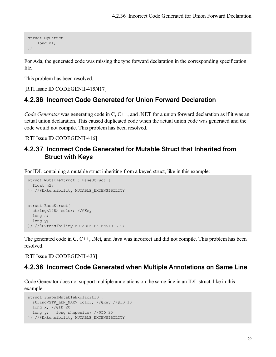```
struct MyStruct {
 long m1;
};
```
For Ada, the generated code was missing the type forward declaration in the corresponding specification file.

This problem has been resolved.

<span id="page-35-0"></span>[RTI Issue ID CODEGENII-415/417]

#### 4.2.36 Incorrect Code Generated for Union Forward Declaration

*Code Generator* was generating code in C, C++, and .NET for a union forward declaration as if it was an actual union declaration. This caused duplicated code when the actual union code was generated and the code would not compile. This problem has been resolved.

<span id="page-35-1"></span>[RTI Issue ID CODEGENII-416]

#### 4.2.37 Incorrect Code Generated for Mutable Struct that Inherited from Struct with Keys

For IDL containing a mutable struct inheriting from a keyed struct, like in this example:

```
struct MutableStruct : BaseStruct {
 float m2;
}; //@Extensibility MUTABLE_EXTENSIBILITY
struct BaseStruct{
 string<128> color; //@Key
 long x;
 long y;
}; //@Extensibility MUTABLE_EXTENSIBILITY
```
The generated code in C, C++, .Net, and Java was incorrect and did not compile. This problem has been resolved.

<span id="page-35-2"></span>[RTI Issue ID CODEGENII-433]

#### 4.2.38 Incorrect Code Generated when Multiple Annotations on Same Line

Code Generator does not support multiple annotations on the same line in an IDL struct, like in this example:

```
struct Shape1MutableExplicitID {
 string<STR_LEN_MAX> color; //@Key //@ID 10
 long x; //@ID 20
 long y; long shapesize; //@ID 30
}; //@Extensibility MUTABLE_EXTENSIBILITY
```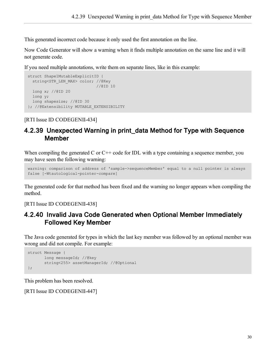This generated incorrect code because it only used the first annotation on the line.

Now Code Generator will show a warning when it finds multiple annotation on the same line and it will not generate code.

If you need multiple annotations, write them on separate lines, like in this example:

```
struct Shape1MutableExplicitID {
  string<STR_LEN_MAX> color; //@Key
                             //@ID 10
 long x; //@ID 20
 long y;
 long shapesize; //@ID 30
}; //@Extensibility MUTABLE_EXTENSIBILITY
```
<span id="page-36-0"></span>[RTI Issue ID CODEGENII-434]

#### 4.2.39 Unexpected Warning in print\_data Method for Type with Sequence Member

When compiling the generated C or  $C++$  code for IDL with a type containing a sequence member, you may have seen the following warning:

```
warning: comparison of address of 'sample->sequenceMember' equal to a null pointer is always
false [-Wtautological-pointer-compare]
```
The generated code for that method has been fixed and the warning no longer appears when compiling the method.

<span id="page-36-1"></span>[RTI Issue ID CODEGENII-438]

#### 4.2.40 Invalid Java Code Generated when Optional Member Immediately Followed Key Member

The Java code generated for types in which the last key member was followed by an optional member was wrong and did not compile. For example:

```
struct Message {
       long messageId; //@key
       string<255> assetManagerId; //@Optional
};
```
This problem has been resolved.

[RTI Issue ID CODEGENII-447]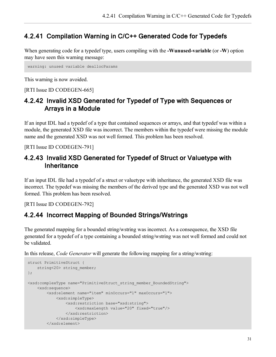#### <span id="page-37-0"></span>4.2.41 Compilation Warning in C/C++ Generated Code for Typedefs

When generating code for a typedef type, users compiling with the **-Wunused-variable** (or **-W**) option may have seen this warning message:

warning: unused variable deallocParams

This warning is now avoided.

<span id="page-37-1"></span>[RTI Issue ID CODEGEN-665]

#### 4.2.42 Invalid XSD Generated for Typedef of Type with Sequences or Arrays in a Module

If an input IDL had a typedef of a type that contained sequences or arrays, and that typedef was within a module, the generated XSD file was incorrect. The members within the typedef were missing the module name and the generated XSD was not well formed. This problem has been resolved.

<span id="page-37-2"></span>[RTI Issue ID CODEGEN-791]

#### 4.2.43 Invalid XSD Generated for Typedef of Struct or Valuetype with **Inheritance**

If an input IDL file had a typedef of a struct or valuetype with inheritance, the generated XSD file was incorrect. The typedef was missing the members of the derived type and the generated XSD was not well formed. This problem has been resolved.

<span id="page-37-3"></span>[RTI Issue ID CODEGEN-792]

#### 4.2.44 Incorrect Mapping of Bounded Strings/Wstrings

The generated mapping for a bounded string/wstring was incorrect. As a consequence, the XSD file generated for a typedef of a type containing a bounded string/wstring was not well formed and could not be validated.

In this release, *Code Generator* will generate the following mapping for a string/wstring:

```
struct PrimitiveStruct {
    string<20> string member;
};
<xsd:complexType name="PrimitiveStruct_string_member_BoundedString">
    <xsd:sequence>
        <xsd:element name="item" minOccurs="1" maxOccurs="1">
           <xsd:simpleType>
                <xsd:restriction base="xsd:string">
                    <xsd:maxLength value="20" fixed="true"/>
               </xsd:restriction>
            </xsd:simpleType>
        </xsd:element>
```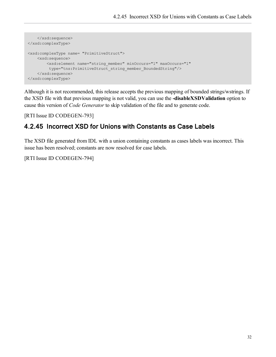```
</xsd:sequence>
</xsd:complexType>
<xsd:complexType name= "PrimitiveStruct">
    <xsd:sequence>
        <xsd:element name="string_member" minOccurs="1" maxOccurs="1"
         type="tns:PrimitiveStruct_string_member_BoundedString"/>
    </xsd:sequence>
</xsd:complexType>
```
Although it is not recommended, this release accepts the previous mapping of bounded strings/wstrings. If the XSD file with that previous mapping is not valid, you can use the **-disableXSDValidation** option to cause this version of *Code Generator* to skip validation of the file and to generate code.

<span id="page-38-0"></span>[RTI Issue ID CODEGEN-793]

#### 4.2.45 Incorrect XSD for Unions with Constants as Case Labels

The XSD file generated from IDL with a union containing constants as cases labels was incorrect. This issue has been resolved; constants are now resolved for case labels.

[RTI Issue ID CODEGEN-794]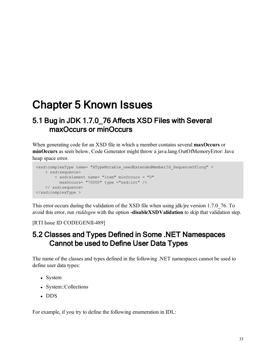## <span id="page-39-1"></span><span id="page-39-0"></span>Chapter 5 Known Issues

## 5.1 Bug in JDK 1.7.0\_76 Affects XSD Files with Several maxOccurs or minOccurs

When generating code for an XSD file in which a member contains several **maxOccurs** or **minOccurs** as seen below, Code Generator might throw a java.lang.OutOfMemoryError: Java heap space error.

```
<xsd:complexType name= "XTypeMutable_needExtendedMemberId_SequenceOflong" >
   < xsd:sequence>
       < xsd:element name= "item" minOccurs = "0"
         maxOccurs= "70000" type ="xsd:int" />
   </ xsd:sequence>
</xsd:complexType >
```
This error occurs during the validation of the XSD file when using jdk/jre version 1.7.0\_76. To avoid this error, run *rtiddsgen* with the option **-disableXSDValidation** to skip that validation step.

<span id="page-39-2"></span>[RTI Issue ID CODEGENII-489]

## 5.2 Classes and Types Defined in Some .NET Namespaces Cannot be used to Define User Data Types

The name of the classes and types defined in the following .NET namespaces cannot be used to define user data types:

- System
- System::Collections
- $\cdot$  DDS

For example, if you try to define the following enumeration in IDL: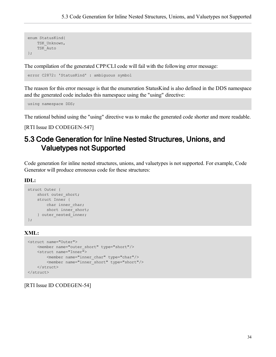```
enum StatusKind{
 TSK_Unknown,
   TSK_Auto
};
```
The compilation of the generated CPP/CLI code will fail with the following error message:

error C2872: 'StatusKind' : ambiguous symbol

The reason for this error message is that the enumeration StatusKind is also defined in the DDS namespace and the generated code includes this namespace using the "using" directive:

```
using namespace DDS;
```
The rational behind using the "using" directive was to make the generated code shorter and more readable.

<span id="page-40-0"></span>[RTI Issue ID CODEGEN-547]

## 5.3 Code Generation for Inline Nested Structures, Unions, and Valuetypes not Supported

Code generation for inline nested structures, unions, and valuetypes is not supported. For example, Code Generator will produce erroneous code for these structures:

#### **IDL:**

```
struct Outer { 
  short outer short;
   struct Inner { 
      char inner char;
      short inner short;
   } outer nested inner;
};
```
#### **XML:**

```
<struct name="Outer">
   <member name="outer_short" type="short"/>
   <struct name="Inner">
       <member name="inner_char" type="char"/>
       <member name="inner_short" type="short"/>
   </struct>
</struct>
```
[RTI Issue ID CODEGEN-54]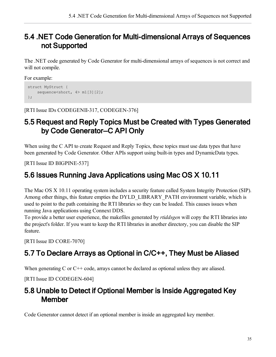## <span id="page-41-0"></span>5.4 .NET Code Generation for Multi-dimensional Arrays of Sequences not Supported

The .NET code generated by Code Generator for multi-dimensional arrays of sequences is not correct and will not compile.

For example:

```
struct MyStruct {
    sequence<short, 4> m1[3][2];
};
```
<span id="page-41-1"></span>[RTI Issue IDs CODEGENII-317, CODEGEN-376]

## 5.5 Request and Reply Topics Must be Created with Types Generated by Code Generator—C API Only

When using the C API to create Request and Reply Topics, these topics must use data types that have been generated by Code Generator*.* Other APIs support using built-in types and DynamicData types.

<span id="page-41-2"></span>[RTI Issue ID BIGPINE-537]

## 5.6 Issues Running Java Applications using Mac OS X 10.11

The Mac OS X 10.11 operating system includes a security feature called System Integrity Protection (SIP). Among other things, this feature empties the DYLD\_LIBRARY\_PATH environment variable, which is used to point to the path containing the RTI libraries so they can be loaded. This causes issues when running Java applications using Connext DDS.

To provide a better user experience, the makefiles generated by *rtiddsgen* will copy the RTI libraries into the project's folder. If you want to keep the RTI libraries in another directory, you can disable the SIP feature.

<span id="page-41-3"></span>[RTI Issue ID CORE-7070]

## 5.7 To Declare Arrays as Optional in C/C++, They Must be Aliased

When generating C or C<sup>++</sup> code, arrays cannot be declared as optional unless they are aliased.

<span id="page-41-4"></span>[RTI Issue ID CODEGEN-604]

## 5.8 Unable to Detect if Optional Member is Inside Aggregated Key **Member**

Code Generator cannot detect if an optional member is inside an aggregated key member.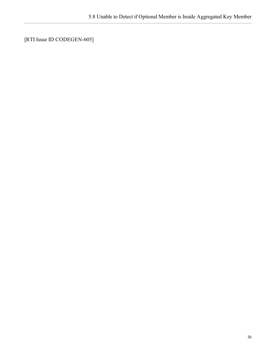[RTI Issue ID CODEGEN-605]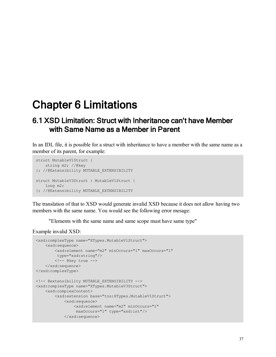## <span id="page-43-1"></span><span id="page-43-0"></span>Chapter 6 Limitations

### 6.1 XSD Limitation: Struct with Inheritance can't have Member with Same Name as a Member in Parent

In an IDL file, it is possible for a struct with inheritance to have a member with the same name as a member of its parent, for example:

```
struct MutableV1Struct {
   string m2; //@key
}; //@Extensibility MUTABLE_EXTENSIBILITY
struct MutableV3Struct : MutableV1Struct {
   long m2;
}; //@Extensibility MUTABLE_EXTENSIBILITY
```
The translation of that to XSD would generate invalid XSD because it does not allow having two members with the same name. You would see the following error mesage:

"Elements with the same name and same scope must have same type"

Example invalid XSD:

```
<xsd:complexType name="XTypes.MutableV1Struct">
   <xsd:sequence>
       <xsd:element name="m2" minOccurs="1" maxOccurs="1"
        type="xsd:string"/>
       \langle!-- @key true -->
   </xsd:sequence>
</xsd:complexType>
<!-- @extensibility MUTABLE_EXTENSIBILITY -->
<xsd:complexType name="XTypes.MutableV3Struct">
   <xsd:complexContent>
       <xsd:extension base="tns:XTypes.MutableV1Struct">
           <xsd:sequence>
                <xsd:element name="m2" minOccurs="1"
                maxOccurs="1" type="xsd:int"/>
            </xsd:sequence>
```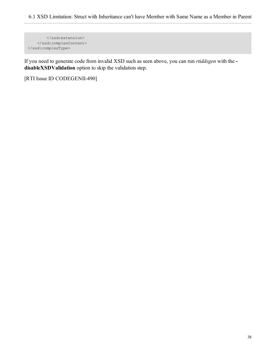```
</xsd:extension>
   </xsd:complexContent>
</xsd:complexType>
```
If you need to generate code from invalid XSD such as seen above, you can run *rtiddsgen* with the  **disableXSDValidation** option to skip the validation step.

[RTI Issue ID CODEGENII-490]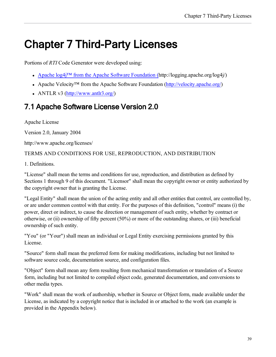## <span id="page-45-0"></span>Chapter 7 Third-Party Licenses

Portions of *RTI* Code Generator were developed using:

- Apache  $\log 4$ <sup>TM</sup> from the Apache Software [Foundation](http://logging.apache.org/log4j/) (http://logging.apache.org/log4j/)
- Apache Velocity™ from the Apache Software Foundation [\(http://velocity.apache.org/](http://velocity.apache.org/))
- ANTLR v3 ( $\frac{http://www.antlr3.org/}{http://www.antlr3.org/)}$

## <span id="page-45-1"></span>7.1 Apache Software License Version 2.0

Apache License

Version 2.0, January 2004

http://www.apache.org/licenses/

#### TERMS AND CONDITIONS FOR USE, REPRODUCTION, AND DISTRIBUTION

1. Definitions.

"License" shall mean the terms and conditions for use, reproduction, and distribution as defined by Sections 1 through 9 of this document. "Licensor" shall mean the copyright owner or entity authorized by the copyright owner that is granting the License.

"Legal Entity" shall mean the union of the acting entity and all other entities that control, are controlled by, or are under common control with that entity. For the purposes of this definition, "control" means (i) the power, direct or indirect, to cause the direction or management of such entity, whether by contract or otherwise, or (ii) ownership of fifty percent (50%) or more of the outstanding shares, or (iii) beneficial ownership of such entity.

"You" (or "Your") shall mean an individual or Legal Entity exercising permissions granted by this License.

"Source" form shall mean the preferred form for making modifications, including but not limited to software source code, documentation source, and configuration files.

"Object" form shall mean any form resulting from mechanical transformation or translation of a Source form, including but not limited to compiled object code, generated documentation, and conversions to other media types.

"Work" shall mean the work of authorship, whether in Source or Object form, made available under the License, as indicated by a copyright notice that is included in or attached to the work (an example is provided in the Appendix below).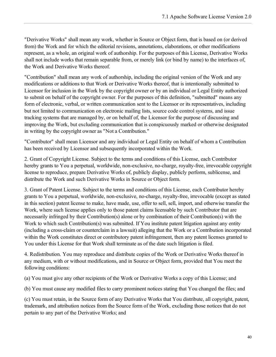"Derivative Works" shall mean any work, whether in Source or Object form, that is based on (or derived from) the Work and for which the editorial revisions, annotations, elaborations, or other modifications represent, as a whole, an original work of authorship. For the purposes of this License, Derivative Works shall not include works that remain separable from, or merely link (or bind by name) to the interfaces of, the Work and Derivative Works thereof.

"Contribution" shall mean any work of authorship, including the original version of the Work and any modifications or additions to that Work or Derivative Works thereof, that is intentionally submitted to Licensor for inclusion in the Work by the copyright owner or by an individual or Legal Entity authorized to submit on behalf of the copyright owner. For the purposes of this definition, "submitted" means any form of electronic, verbal, or written communication sent to the Licensor or its representatives, including but not limited to communication on electronic mailing lists, source code control systems, and issue tracking systems that are managed by, or on behalf of, the Licensor for the purpose of discussing and improving the Work, but excluding communication that is conspicuously marked or otherwise designated in writing by the copyright owner as "Not a Contribution."

"Contributor" shall mean Licensor and any individual or Legal Entity on behalf of whom a Contribution has been received by Licensor and subsequently incorporated within the Work.

2. Grant of Copyright License. Subject to the terms and conditions of this License, each Contributor hereby grants to You a perpetual, worldwide, non-exclusive, no-charge, royalty-free, irrevocable copyright license to reproduce, prepare Derivative Works of, publicly display, publicly perform, sublicense, and distribute the Work and such Derivative Works in Source or Object form.

3. Grant of Patent License. Subject to the terms and conditions of this License, each Contributor hereby grants to You a perpetual, worldwide, non-exclusive, no-charge, royalty-free, irrevocable (except as stated in this section) patent license to make, have made, use, offer to sell, sell, import, and otherwise transfer the Work, where such license applies only to those patent claims licensable by such Contributor that are necessarily infringed by their Contribution(s) alone or by combination of their Contribution(s) with the Work to which such Contribution(s) was submitted. If You institute patent litigation against any entity (including a cross-claim or counterclaim in a lawsuit) alleging that the Work or a Contribution incorporated within the Work constitutes direct or contributory patent infringement, then any patent licenses granted to You under this License for that Work shall terminate as of the date such litigation is filed.

4. Redistribution. You may reproduce and distribute copies of the Work or Derivative Works thereof in any medium, with or without modifications, and in Source or Object form, provided that You meet the following conditions:

(a) You must give any other recipients of the Work or Derivative Works a copy of this License; and

(b) You must cause any modified files to carry prominent notices stating that You changed the files; and

(c) You must retain, in the Source form of any Derivative Works that You distribute, all copyright, patent, trademark, and attribution notices from the Source form of the Work, excluding those notices that do not pertain to any part of the Derivative Works; and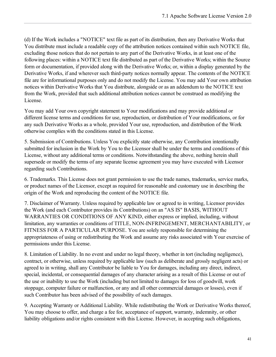(d) If the Work includes a "NOTICE" text file as part of its distribution, then any Derivative Works that You distribute must include a readable copy of the attribution notices contained within such NOTICE file, excluding those notices that do not pertain to any part of the Derivative Works, in at least one of the following places: within a NOTICE text file distributed as part of the Derivative Works; within the Source form or documentation, if provided along with the Derivative Works; or, within a display generated by the Derivative Works, if and wherever such third-party notices normally appear. The contents of the NOTICE file are for informational purposes only and do not modify the License. You may add Your own attribution notices within Derivative Works that You distribute, alongside or as an addendum to the NOTICE text from the Work, provided that such additional attribution notices cannot be construed as modifying the License.

You may add Your own copyright statement to Your modifications and may provide additional or different license terms and conditions for use, reproduction, or distribution of Your modifications, or for any such Derivative Works as a whole, provided Your use, reproduction, and distribution of the Work otherwise complies with the conditions stated in this License.

5. Submission of Contributions. Unless You explicitly state otherwise, any Contribution intentionally submitted for inclusion in the Work by You to the Licensor shall be under the terms and conditions of this License, without any additional terms or conditions. Notwithstanding the above, nothing herein shall supersede or modify the terms of any separate license agreement you may have executed with Licensor regarding such Contributions.

6. Trademarks. This License does not grant permission to use the trade names, trademarks, service marks, or product names of the Licensor, except as required for reasonable and customary use in describing the origin of the Work and reproducing the content of the NOTICE file.

7. Disclaimer of Warranty. Unless required by applicable law or agreed to in writing, Licensor provides the Work (and each Contributor provides its Contributions) on an "AS IS" BASIS, WITHOUT WARRANTIES OR CONDITIONS OF ANY KIND, either express or implied, including, without limitation, any warranties or conditions of TITLE, NON-INFRINGEMENT, MERCHANTABILITY, or FITNESS FOR A PARTICULAR PURPOSE. You are solely responsible for determining the appropriateness of using or redistributing the Work and assume any risks associated with Your exercise of permissions under this License.

8. Limitation of Liability. In no event and under no legal theory, whether in tort (including negligence), contract, or otherwise, unless required by applicable law (such as deliberate and grossly negligent acts) or agreed to in writing, shall any Contributor be liable to You for damages, including any direct, indirect, special, incidental, or consequential damages of any character arising as a result of this License or out of the use or inability to use the Work (including but not limited to damages for loss of goodwill, work stoppage, computer failure or malfunction, or any and all other commercial damages or losses), even if such Contributor has been advised of the possibility of such damages.

9. Accepting Warranty or Additional Liability. While redistributing the Work or Derivative Works thereof, You may choose to offer, and charge a fee for, acceptance of support, warranty, indemnity, or other liability obligations and/or rights consistent with this License. However, in accepting such obligations,